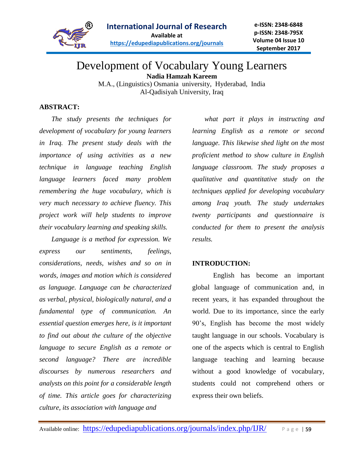

# Development of Vocabulary Young Learners **Nadia Hamzah Kareem**

M.A., (Linguistics) Osmania university, Hyderabad, India Al-Qadisiyah University, Iraq

# **ABSTRACT:**

*The study presents the techniques for development of vocabulary for young learners in Iraq. The present study deals with the importance of using activities as a new technique in language teaching English language learners faced many problem remembering the huge vocabulary, which is very much necessary to achieve fluency. This project work will help students to improve their vocabulary learning and speaking skills.*

*Language is a method for expression. We express our sentiments, feelings, considerations, needs, wishes and so on in words, images and motion which is considered as language. Language can be characterized as verbal, physical, biologically natural, and a fundamental type of communication. An essential question emerges here, is it important to find out about the culture of the objective language to secure English as a remote or second language? There are incredible discourses by numerous researchers and analysts on this point for a considerable length of time. This article goes for characterizing culture, its association with language and* 

*what part it plays in instructing and learning English as a remote or second language. This likewise shed light on the most proficient method to show culture in English language classroom. The study proposes a qualitative and quantitative study on the techniques applied for developing vocabulary among Iraq youth. The study undertakes twenty participants and questionnaire is conducted for them to present the analysis results.*

# **INTRODUCTION:**

English has become an important global language of communication and, in recent years, it has expanded throughout the world. Due to its importance, since the early 90's, English has become the most widely taught language in our schools. Vocabulary is one of the aspects which is central to English language teaching and learning because without a good knowledge of vocabulary, students could not comprehend others or express their own beliefs.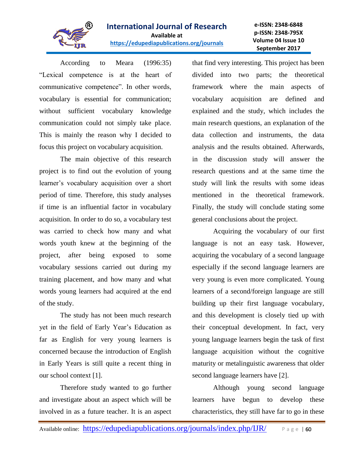

**e-ISSN: 2348-6848 p-ISSN: 2348-795X Volume 04 Issue 10 September 2017**

According to Meara (1996:35) "Lexical competence is at the heart of communicative competence". In other words, vocabulary is essential for communication; without sufficient vocabulary knowledge communication could not simply take place. This is mainly the reason why I decided to focus this project on vocabulary acquisition.

The main objective of this research project is to find out the evolution of young learner's vocabulary acquisition over a short period of time. Therefore, this study analyses if time is an influential factor in vocabulary acquisition. In order to do so, a vocabulary test was carried to check how many and what words youth knew at the beginning of the project, after being exposed to some vocabulary sessions carried out during my training placement, and how many and what words young learners had acquired at the end of the study.

The study has not been much research yet in the field of Early Year's Education as far as English for very young learners is concerned because the introduction of English in Early Years is still quite a recent thing in our school context [1].

Therefore study wanted to go further and investigate about an aspect which will be involved in as a future teacher. It is an aspect that find very interesting. This project has been divided into two parts; the theoretical framework where the main aspects of vocabulary acquisition are defined and explained and the study, which includes the main research questions, an explanation of the data collection and instruments, the data analysis and the results obtained. Afterwards, in the discussion study will answer the research questions and at the same time the study will link the results with some ideas mentioned in the theoretical framework. Finally, the study will conclude stating some general conclusions about the project.

Acquiring the vocabulary of our first language is not an easy task. However, acquiring the vocabulary of a second language especially if the second language learners are very young is even more complicated. Young learners of a second/foreign language are still building up their first language vocabulary, and this development is closely tied up with their conceptual development. In fact, very young language learners begin the task of first language acquisition without the cognitive maturity or metalinguistic awareness that older second language learners have [2].

Although young second language learners have begun to develop these characteristics, they still have far to go in these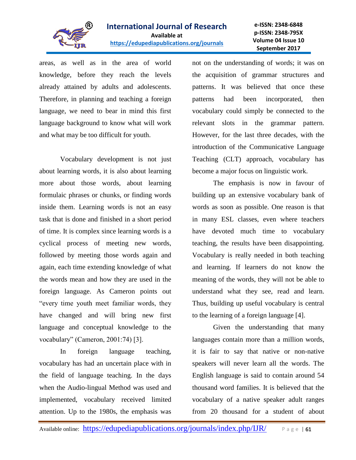

areas, as well as in the area of world knowledge, before they reach the levels already attained by adults and adolescents. Therefore, in planning and teaching a foreign language, we need to bear in mind this first language background to know what will work and what may be too difficult for youth.

Vocabulary development is not just about learning words, it is also about learning more about those words, about learning formulaic phrases or chunks, or finding words inside them. Learning words is not an easy task that is done and finished in a short period of time. It is complex since learning words is a cyclical process of meeting new words, followed by meeting those words again and again, each time extending knowledge of what the words mean and how they are used in the foreign language. As Cameron points out "every time youth meet familiar words, they have changed and will bring new first language and conceptual knowledge to the vocabulary" (Cameron, 2001:74) [3].

In foreign language teaching, vocabulary has had an uncertain place with in the field of language teaching. In the days when the Audio-lingual Method was used and implemented, vocabulary received limited attention. Up to the 1980s, the emphasis was not on the understanding of words; it was on the acquisition of grammar structures and patterns. It was believed that once these patterns had been incorporated, then vocabulary could simply be connected to the relevant slots in the grammar pattern. However, for the last three decades, with the introduction of the Communicative Language Teaching (CLT) approach, vocabulary has become a major focus on linguistic work.

The emphasis is now in favour of building up an extensive vocabulary bank of words as soon as possible. One reason is that in many ESL classes, even where teachers have devoted much time to vocabulary teaching, the results have been disappointing. Vocabulary is really needed in both teaching and learning. If learners do not know the meaning of the words, they will not be able to understand what they see, read and learn. Thus, building up useful vocabulary is central to the learning of a foreign language [4].

Given the understanding that many languages contain more than a million words, it is fair to say that native or non-native speakers will never learn all the words. The English language is said to contain around 54 thousand word families. It is believed that the vocabulary of a native speaker adult ranges from 20 thousand for a student of about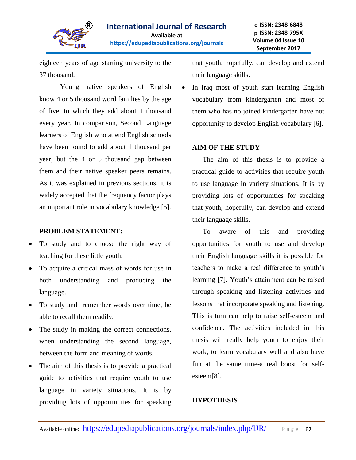

eighteen years of age starting university to the 37 thousand.

Young native speakers of English know 4 or 5 thousand word families by the age of five, to which they add about 1 thousand every year. In comparison, Second Language learners of English who attend English schools have been found to add about 1 thousand per year, but the 4 or 5 thousand gap between them and their native speaker peers remains. As it was explained in previous sections, it is widely accepted that the frequency factor plays an important role in vocabulary knowledge [5].

### **PROBLEM STATEMENT:**

- To study and to choose the right way of teaching for these little youth.
- To acquire a critical mass of words for use in both understanding and producing the language.
- To study and remember words over time, be able to recall them readily.
- The study in making the correct connections, when understanding the second language, between the form and meaning of words.
- The aim of this thesis is to provide a practical guide to activities that require youth to use language in variety situations. It is by providing lots of opportunities for speaking

that youth, hopefully, can develop and extend their language skills.

 In Iraq most of youth start learning English vocabulary from kindergarten and most of them who has no joined kindergarten have not opportunity to develop English vocabulary [6].

#### **AIM OF THE STUDY**

The aim of this thesis is to provide a practical guide to activities that require youth to use language in variety situations. It is by providing lots of opportunities for speaking that youth, hopefully, can develop and extend their language skills.

To aware of this and providing opportunities for youth to use and develop their English language skills it is possible for teachers to make a real difference to youth's learning [7]. Youth's attainment can be raised through speaking and listening activities and lessons that incorporate speaking and listening. This is turn can help to raise self-esteem and confidence. The activities included in this thesis will really help youth to enjoy their work, to learn vocabulary well and also have fun at the same time-a real boost for selfesteem[8].

#### **HYPOTHESIS**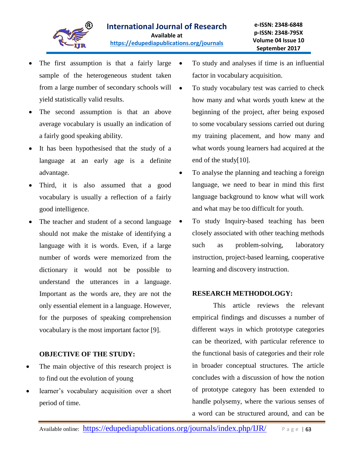

- The first assumption is that a fairly large  $\bullet$ sample of the heterogeneous student taken from a large number of secondary schools will yield statistically valid results.
- The second assumption is that an above average vocabulary is usually an indication of a fairly good speaking ability.
- It has been hypothesised that the study of a language at an early age is a definite advantage.
- Third, it is also assumed that a good vocabulary is usually a reflection of a fairly good intelligence.
- The teacher and student of a second language should not make the mistake of identifying a language with it is words. Even, if a large number of words were memorized from the dictionary it would not be possible to understand the utterances in a language. Important as the words are, they are not the only essential element in a language. However, for the purposes of speaking comprehension vocabulary is the most important factor [9].

# **OBJECTIVE OF THE STUDY:**

- The main objective of this research project is to find out the evolution of young
- learner's vocabulary acquisition over a short period of time.
- To study and analyses if time is an influential factor in vocabulary acquisition.
- To study vocabulary test was carried to check how many and what words youth knew at the beginning of the project, after being exposed to some vocabulary sessions carried out during my training placement, and how many and what words young learners had acquired at the end of the study[10].
- To analyse the planning and teaching a foreign language, we need to bear in mind this first language background to know what will work and what may be too difficult for youth.
- To study Inquiry-based teaching has been closely associated with other teaching methods such as problem-solving, laboratory instruction, project-based learning, cooperative learning and discovery instruction.

# **RESEARCH METHODOLOGY:**

This article reviews the relevant empirical findings and discusses a number of different ways in which prototype categories can be theorized, with particular reference to the functional basis of categories and their role in broader conceptual structures. The article concludes with a discussion of how the notion of prototype category has been extended to handle polysemy, where the various senses of a word can be structured around, and can be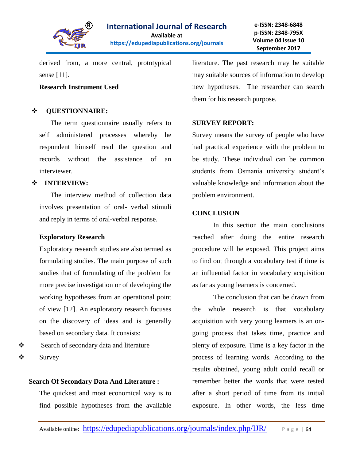

derived from, a more central, prototypical sense [11].

#### **Research Instrument Used**

### **QUESTIONNAIRE:**

 The term questionnaire usually refers to self administered processes whereby he respondent himself read the question and records without the assistance of an interviewer.

# **INTERVIEW:**

 The interview method of collection data involves presentation of oral- verbal stimuli and reply in terms of oral-verbal response.

#### **Exploratory Research**

Exploratory research studies are also termed as formulating studies. The main purpose of such studies that of formulating of the problem for more precise investigation or of developing the working hypotheses from an operational point of view [12]. An exploratory research focuses on the discovery of ideas and is generally based on secondary data. It consists:

Search of secondary data and literature  $\mathbf{\hat{y}}$  Survey

# **Search Of Secondary Data And Literature :**

The quickest and most economical way is to find possible hypotheses from the available literature. The past research may be suitable may suitable sources of information to develop new hypotheses. The researcher can search them for his research purpose.

#### **SURVEY REPORT:**

Survey means the survey of people who have had practical experience with the problem to be study. These individual can be common students from Osmania university student's valuable knowledge and information about the problem environment.

#### **CONCLUSION**

In this section the main conclusions reached after doing the entire research procedure will be exposed. This project aims to find out through a vocabulary test if time is an influential factor in vocabulary acquisition as far as young learners is concerned.

The conclusion that can be drawn from the whole research is that vocabulary acquisition with very young learners is an ongoing process that takes time, practice and plenty of exposure. Time is a key factor in the process of learning words. According to the results obtained, young adult could recall or remember better the words that were tested after a short period of time from its initial exposure. In other words, the less time